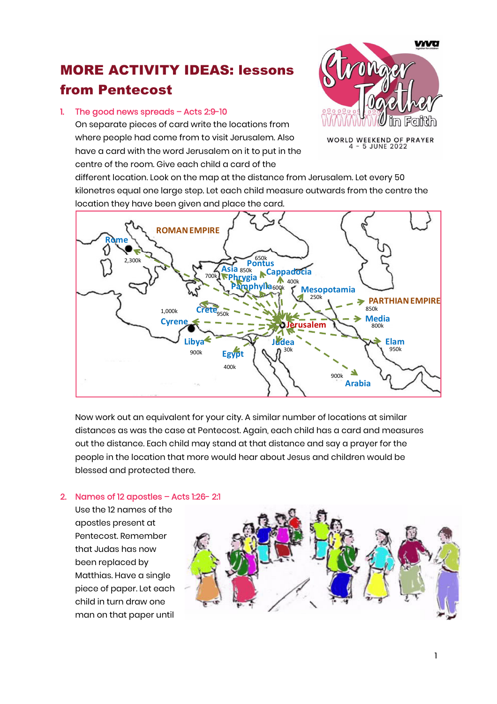## MORE ACTIVITY IDEAS: lessons from Pentecost

## 1. The good news spreads – Acts 2:9-10

On separate pieces of card write the locations from where people had come from to visit Jerusalem. Also have a card with the word Jerusalem on it to put in the centre of the room. Give each child a card of the

**VIVO** 

WORLD WEEKEND OF PRAYER<br>4 - 5 JUNE 2022

different location. Look on the map at the distance from Jerusalem. Let every 50 kilonetres equal one large step. Let each child measure outwards from the centre the location they have been given and place the card.



Now work out an equivalent for your city. A similar number of locations at similar distances as was the case at Pentecost. Again, each child has a card and measures out the distance. Each child may stand at that distance and say a prayer for the people in the location that more would hear about Jesus and children would be blessed and protected there.

## 2. Names of 12 apostles – Acts 1:26- 2:1

Use the 12 names of the apostles present at Pentecost. Remember that Judas has now been replaced by Matthias. Have a single piece of paper. Let each child in turn draw one man on that paper until